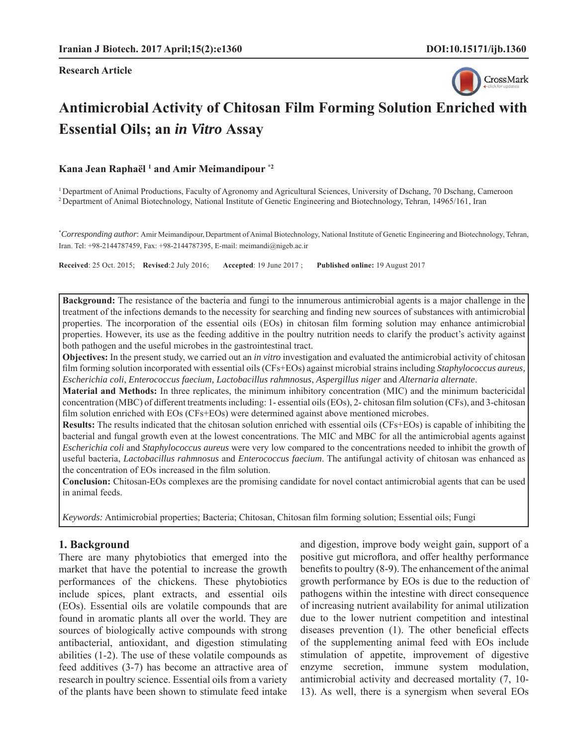**Research Article**



# **Antimicrobial Activity of Chitosan Film Forming Solution Enriched with Essential Oils; an** *in Vitro* **Assay**

**Kana Jean Raphaël 1 and Amir Meimandipour \*2**

1 Department of Animal Productions, Faculty of Agronomy and Agricultural Sciences, University of Dschang, 70 Dschang, Cameroon 2 Department of Animal Biotechnology, National Institute of Genetic Engineering and Biotechnology, Tehran, 14965/161, Iran

\* *Corresponding author*: Amir Meimandipour,Department of Animal Biotechnology, National Institute of Genetic Engineering and Biotechnology, Tehran, Iran. Tel: +98-2144787459, Fax: +98-2144787395, E-mail: meimandi@nigeb.ac.ir

**Received**: 25 Oct. 2015; **Revised**:2 July 2016; **Accepted**: 19 June 2017 ; **Published online:** 19 August 2017

**Background:** The resistance of the bacteria and fungi to the innumerous antimicrobial agents is a major challenge in the treatment of the infections demands to the necessity for searching and finding new sources of substances with antimicrobial properties. The incorporation of the essential oils (EOs) in chitosan film forming solution may enhance antimicrobial properties. However, its use as the feeding additive in the poultry nutrition needs to clarify the product's activity against both pathogen and the useful microbes in the gastrointestinal tract.

**Objectives:** In the present study, we carried out an *in vitro* investigation and evaluated the antimicrobial activity of chitosan film forming solution incorporated with essential oils (CFs+EOs) against microbial strains including *Staphylococcus aureus*, *Escherichia coli*, *Enterococcus faecium, Lactobacillus rahmnosus*, *Aspergillus niger* and *Alternaria alternate*.

**Material and Methods:** In three replicates, the minimum inhibitory concentration (MIC) and the minimum bactericidal concentration (MBC) of different treatments including: 1- essential oils (EOs), 2- chitosan film solution (CFs), and 3-chitosan film solution enriched with EOs (CFs+EOs) were determined against above mentioned microbes.

**Results:** The results indicated that the chitosan solution enriched with essential oils (CFs+EOs) is capable of inhibiting the bacterial and fungal growth even at the lowest concentrations. The MIC and MBC for all the antimicrobial agents against *Escherichia coli* and *Staphylococcus aureus* were very low compared to the concentrations needed to inhibit the growth of useful bacteria, *Lactobacillus rahmnosus* and *Enterococcus faecium*. The antifungal activity of chitosan was enhanced as the concentration of EOs increased in the film solution.

**Conclusion:** Chitosan-EOs complexes are the promising candidate for novel contact antimicrobial agents that can be used in animal feeds.

*Keywords:* Antimicrobial properties; Bacteria; Chitosan, Chitosan film forming solution; Essential oils; Fungi

#### **1. Background**

There are many phytobiotics that emerged into the market that have the potential to increase the growth performances of the chickens. These phytobiotics include spices, plant extracts, and essential oils (EOs). Essential oils are volatile compounds that are found in aromatic plants all over the world. They are sources of biologically active compounds with strong antibacterial, antioxidant, and digestion stimulating abilities (1-2). The use of these volatile compounds as feed additives (3-7) has become an attractive area of research in poultry science. Essential oils from a variety of the plants have been shown to stimulate feed intake and digestion, improve body weight gain, support of a positive gut microflora, and offer healthy performance benefits to poultry  $(8-9)$ . The enhancement of the animal growth performance by EOs is due to the reduction of pathogens within the intestine with direct consequence of increasing nutrient availability for animal utilization due to the lower nutrient competition and intestinal diseases prevention  $(1)$ . The other beneficial effects of the supplementing animal feed with EOs include stimulation of appetite, improvement of digestive enzyme secretion, immune system modulation, antimicrobial activity and decreased mortality (7, 10- 13). As well, there is a synergism when several EOs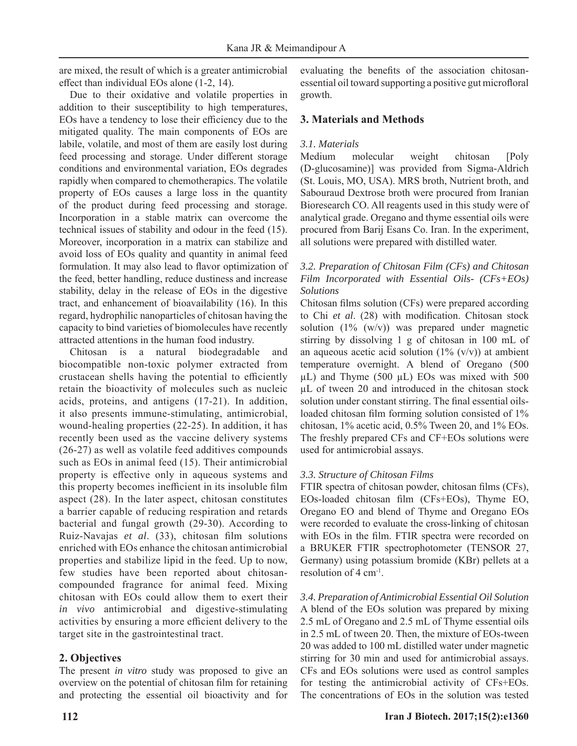are mixed, the result of which is a greater antimicrobial effect than individual EOs alone (1-2, 14).

Due to their oxidative and volatile properties in addition to their susceptibility to high temperatures, EOs have a tendency to lose their efficiency due to the mitigated quality. The main components of EOs are labile, volatile, and most of them are easily lost during feed processing and storage. Under different storage conditions and environmental variation, EOs degrades rapidly when compared to chemotherapics. The volatile property of EOs causes a large loss in the quantity of the product during feed processing and storage. Incorporation in a stable matrix can overcome the technical issues of stability and odour in the feed (15). Moreover, incorporation in a matrix can stabilize and avoid loss of EOs quality and quantity in animal feed formulation. It may also lead to flavor optimization of the feed, better handling, reduce dustiness and increase stability, delay in the release of EOs in the digestive tract, and enhancement of bioavailability (16). In this regard, hydrophilic nanoparticles of chitosan having the capacity to bind varieties of biomolecules have recently attracted attentions in the human food industry.

Chitosan is a natural biodegradable and biocompatible non-toxic polymer extracted from crustacean shells having the potential to efficiently retain the bioactivity of molecules such as nucleic acids, proteins, and antigens (17-21). In addition, it also presents immune-stimulating, antimicrobial, wound-healing properties (22-25). In addition, it has recently been used as the vaccine delivery systems (26-27) as well as volatile feed additives compounds such as EOs in animal feed (15). Their antimicrobial property is effective only in aqueous systems and this property becomes inefficient in its insoluble film aspect (28). In the later aspect, chitosan constitutes a barrier capable of reducing respiration and retards bacterial and fungal growth (29-30). According to Ruiz-Navajas *et al.* (33), chitosan film solutions enriched with EOs enhance the chitosan antimicrobial properties and stabilize lipid in the feed. Up to now, few studies have been reported about chitosancompounded fragrance for animal feed. Mixing chitosan with EOs could allow them to exert their *in vivo* antimicrobial and digestive-stimulating activities by ensuring a more efficient delivery to the target site in the gastrointestinal tract.

# **2. Objectives**

The present *in vitro* study was proposed to give an overview on the potential of chitosan film for retaining and protecting the essential oil bioactivity and for evaluating the benefits of the association chitosanessential oil toward supporting a positive gut microfloral growth.

# **3. Materials and Methods**

## *3.1. Materials*

Medium molecular weight chitosan [Poly (D-glucosamine)] was provided from Sigma-Aldrich (St. Louis, MO, USA). MRS broth, Nutrient broth, and Sabouraud Dextrose broth were procured from Iranian Bioresearch CO. All reagents used in this study were of analytical grade. Oregano and thyme essential oils were procured from Barij Esans Co. Iran. In the experiment, all solutions were prepared with distilled water.

## *3.2. Preparation of Chitosan Film (CFs) and Chitosan Film Incorporated with Essential Oils- (CFs+EOs) Solutions*

Chitosan films solution (CFs) were prepared according to Chi et al. (28) with modification. Chitosan stock solution  $(1\% (w/v))$  was prepared under magnetic stirring by dissolving 1 g of chitosan in 100 mL of an aqueous acetic acid solution  $(1\% (v/v))$  at ambient temperature overnight. A blend of Oregano (500 μL) and Thyme (500 μL) EOs was mixed with 500 μL of tween 20 and introduced in the chitosan stock solution under constant stirring. The final essential oilsloaded chitosan film forming solution consisted of  $1\%$ chitosan, 1% acetic acid, 0.5% Tween 20, and 1% EOs. The freshly prepared CFs and CF+EOs solutions were used for antimicrobial assays.

# *3.3. Structure of Chitosan Films*

FTIR spectra of chitosan powder, chitosan films (CFs), EOs-loaded chitosan film (CFs+EOs), Thyme EO, Oregano EO and blend of Thyme and Oregano EOs were recorded to evaluate the cross-linking of chitosan with EOs in the film. FTIR spectra were recorded on a BRUKER FTIR spectrophotometer (TENSOR 27, Germany) using potassium bromide (KBr) pellets at a resolution of 4 cm-1.

*3.4. Preparation of Antimicrobial Essential Oil Solution* A blend of the EOs solution was prepared by mixing 2.5 mL of Oregano and 2.5 mL of Thyme essential oils in 2.5 mL of tween 20. Then, the mixture of EOs-tween 20 was added to 100 mL distilled water under magnetic stirring for 30 min and used for antimicrobial assays. CFs and EOs solutions were used as control samples for testing the antimicrobial activity of CFs+EOs. The concentrations of EOs in the solution was tested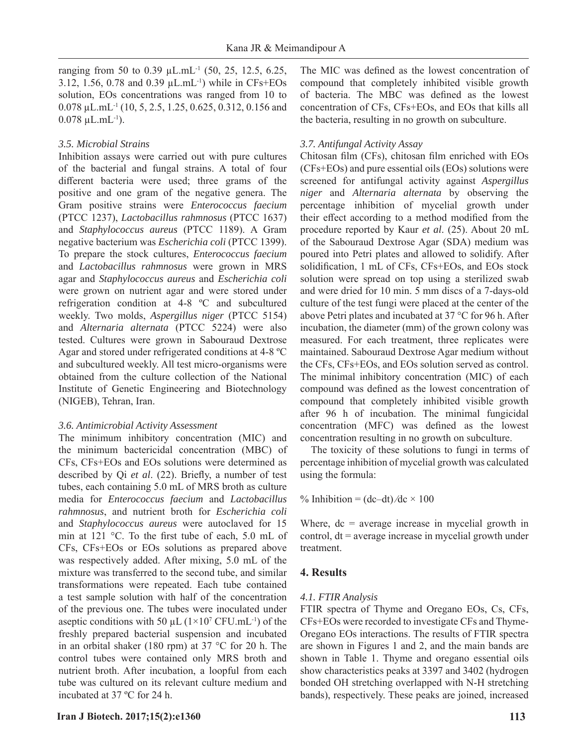ranging from 50 to 0.39 μL.mL<sup>-1</sup> (50, 25, 12.5, 6.25, 3.12, 1.56, 0.78 and 0.39 μL.mL-1) while in CFs+EOs solution, EOs concentrations was ranged from 10 to 0.078 μL.mL-1 (10, 5, 2.5, 1.25, 0.625, 0.312, 0.156 and  $0.078 \mu L.mL^{-1}$ ).

#### *3.5. Microbial Strains*

Inhibition assays were carried out with pure cultures of the bacterial and fungal strains. A total of four different bacteria were used; three grams of the positive and one gram of the negative genera. The Gram positive strains were *Enterococcus faecium* (PTCC 1237), *Lactobacillus rahmnosus* (PTCC 1637) and *Staphylococcus aureus* (PTCC 1189). A Gram negative bacterium was *Escherichia coli* (PTCC 1399). To prepare the stock cultures, *Enterococcus faecium* and *Lactobacillus rahmnosus* were grown in MRS agar and *Staphylococcus aureus* and *Escherichia coli*  were grown on nutrient agar and were stored under refrigeration condition at 4-8 ºC and subcultured weekly. Two molds, *Aspergillus niger* (PTCC 5154) and *Alternaria alternata* (PTCC 5224) were also tested. Cultures were grown in Sabouraud Dextrose Agar and stored under refrigerated conditions at 4-8 ºC and subcultured weekly. All test micro-organisms were obtained from the culture collection of the National Institute of Genetic Engineering and Biotechnology (NIGEB), Tehran, Iran.

#### *3.6. Antimicrobial Activity Assessment*

The minimum inhibitory concentration (MIC) and the minimum bactericidal concentration (MBC) of CFs, CFs+EOs and EOs solutions were determined as described by Qi *et al.* (22). Briefly, a number of test tubes, each containing 5.0 mL of MRS broth as culture media for *Enterococcus faecium* and *Lactobacillus rahmnosus*, and nutrient broth for *Escherichia coli* and *Staphylococcus aureus* were autoclaved for 15 min at 121  $\degree$ C. To the first tube of each, 5.0 mL of CFs, CFs+EOs or EOs solutions as prepared above was respectively added. After mixing, 5.0 mL of the mixture was transferred to the second tube, and similar transformations were repeated. Each tube contained a test sample solution with half of the concentration of the previous one. The tubes were inoculated under aseptic conditions with 50  $\mu$ L ( $1\times10^7$  CFU.mL<sup>-1</sup>) of the freshly prepared bacterial suspension and incubated in an orbital shaker (180 rpm) at 37 °C for 20 h. The control tubes were contained only MRS broth and nutrient broth. After incubation, a loopful from each tube was cultured on its relevant culture medium and incubated at 37 ºC for 24 h.

**Iran J Biotech. 2017;15(2):e1360 113**

The MIC was defined as the lowest concentration of compound that completely inhibited visible growth of bacteria. The MBC was defined as the lowest concentration of CFs, CFs+EOs, and EOs that kills all the bacteria, resulting in no growth on subculture.

## *3.7. Antifungal Activity Assay*

Chitosan film (CFs), chitosan film enriched with EOs (CFs+EOs) and pure essential oils (EOs) solutions were screened for antifungal activity against *Aspergillus niger* and *Alternaria alternata* by observing the percentage inhibition of mycelial growth under their effect according to a method modified from the procedure reported by Kaur *et al*. (25). About 20 mL of the Sabouraud Dextrose Agar (SDA) medium was poured into Petri plates and allowed to solidify. After solidification, 1 mL of CFs, CFs+EOs, and EOs stock solution were spread on top using a sterilized swab and were dried for 10 min. 5 mm discs of a 7-days-old culture of the test fungi were placed at the center of the above Petri plates and incubated at 37 °C for 96 h. After incubation, the diameter (mm) of the grown colony was measured. For each treatment, three replicates were maintained. Sabouraud Dextrose Agar medium without the CFs, CFs+EOs, and EOs solution served as control. The minimal inhibitory concentration (MIC) of each compound was defined as the lowest concentration of compound that completely inhibited visible growth after 96 h of incubation. The minimal fungicidal concentration (MFC) was defined as the lowest concentration resulting in no growth on subculture.

The toxicity of these solutions to fungi in terms of percentage inhibition of mycelial growth was calculated using the formula:

% Inhibition =  $(dc-dt)/dc \times 100$ 

Where,  $dc = average$  increase in mycelial growth in control,  $dt$  = average increase in mycelial growth under treatment.

## **4. Results**

#### *4.1. FTIR Analysis*

FTIR spectra of Thyme and Oregano EOs, Cs, CFs, CFs+EOs were recorded to investigate CFs and Thyme-Oregano EOs interactions. The results of FTIR spectra are shown in Figures 1 and 2, and the main bands are shown in Table 1. Thyme and oregano essential oils show characteristics peaks at 3397 and 3402 (hydrogen bonded OH stretching overlapped with N-H stretching bands), respectively. These peaks are joined, increased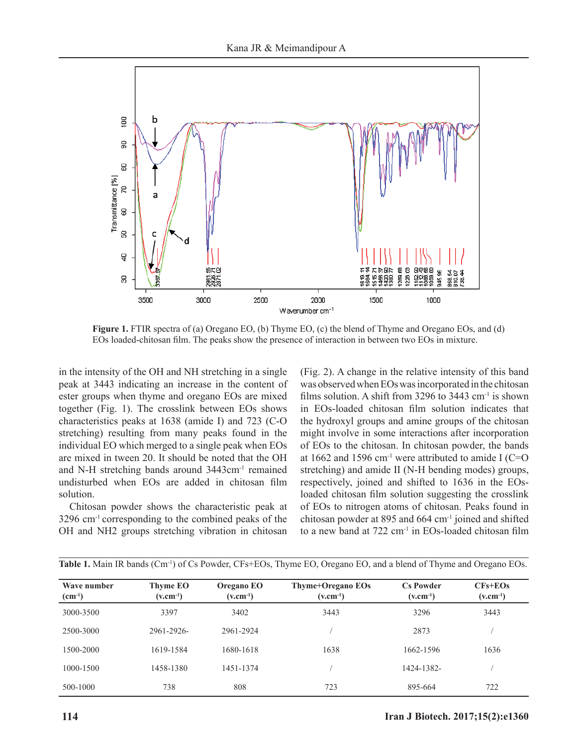

**Figure 1.** FTIR spectra of (a) Oregano EO, (b) Thyme EO, (c) the blend of Thyme and Oregano EOs, and (d) EOs loaded-chitosan film. The peaks show the presence of interaction in between two EOs in mixture.

in the intensity of the OH and NH stretching in a single peak at 3443 indicating an increase in the content of ester groups when thyme and oregano EOs are mixed together (Fig. 1). The crosslink between EOs shows characteristics peaks at 1638 (amide I) and 723 (C-O stretching) resulting from many peaks found in the individual EO which merged to a single peak when EOs are mixed in tween 20. It should be noted that the OH and N-H stretching bands around 3443cm-1 remained undisturbed when EOs are added in chitosan film solution.

Chitosan powder shows the characteristic peak at 3296 cm-1 corresponding to the combined peaks of the OH and NH2 groups stretching vibration in chitosan (Fig. 2). A change in the relative intensity of this band was observed when EOs was incorporated in the chitosan films solution. A shift from 3296 to 3443  $cm<sup>-1</sup>$  is shown in EOs-loaded chitosan film solution indicates that the hydroxyl groups and amine groups of the chitosan might involve in some interactions after incorporation of EOs to the chitosan. In chitosan powder, the bands at 1662 and 1596 cm<sup>-1</sup> were attributed to amide I (C=O) stretching) and amide II (N-H bending modes) groups, respectively, joined and shifted to 1636 in the EOsloaded chitosan film solution suggesting the crosslink of EOs to nitrogen atoms of chitosan. Peaks found in chitosan powder at 895 and 664 cm-1 joined and shifted to a new band at  $722 \text{ cm}^{-1}$  in EOs-loaded chitosan film

| Wave number<br>$(cm^{-1})$ | Thyme EO<br>$(v.cm^{-1})$ | Oregano EO<br>$(v.cm^{-1})$ | Thyme+Oregano EOs<br>$(v.cm^{-1})$ | <b>Cs Powder</b><br>$(v.cm^{-1})$ | $CFs + EOs$<br>$(v.cm^{-1})$ |
|----------------------------|---------------------------|-----------------------------|------------------------------------|-----------------------------------|------------------------------|
| 3000-3500                  | 3397                      | 3402                        | 3443                               | 3296                              | 3443                         |
| 2500-3000                  | 2961-2926-                | 2961-2924                   |                                    | 2873                              |                              |
| 1500-2000                  | 1619-1584                 | 1680-1618                   | 1638                               | 1662-1596                         | 1636                         |
| 1000-1500                  | 1458-1380                 | 1451-1374                   |                                    | 1424-1382-                        |                              |
| 500-1000                   | 738                       | 808                         | 723                                | 895-664                           | 722                          |

**114 Iran J Biotech. 2017;15(2):e1360**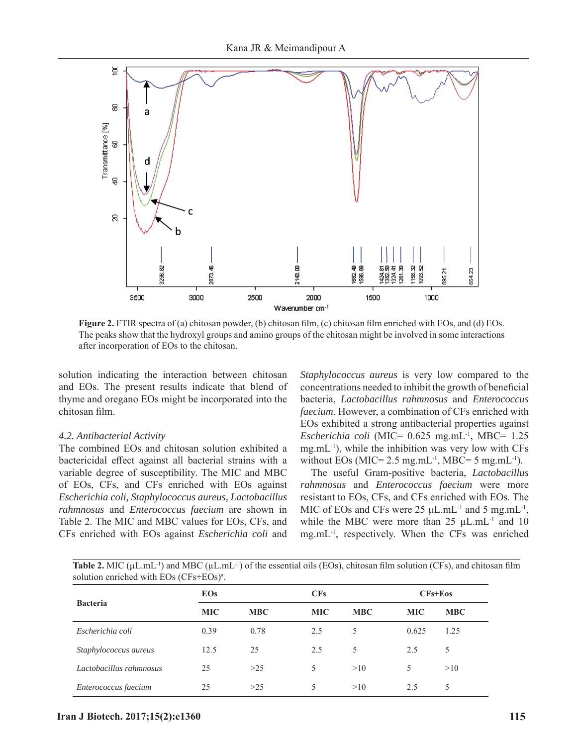

**Figure 2.** FTIR spectra of (a) chitosan powder, (b) chitosan film, (c) chitosan film enriched with EOs, and (d) EOs. The peaks show that the hydroxyl groups and amino groups of the chitosan might be involved in some interactions after incorporation of EOs to the chitosan.

solution indicating the interaction between chitosan and EOs. The present results indicate that blend of thyme and oregano EOs might be incorporated into the chitosan film.

#### *4.2. Antibacterial Activity*

The combined EOs and chitosan solution exhibited a bactericidal effect against all bacterial strains with a variable degree of susceptibility. The MIC and MBC of EOs, CFs, and CFs enriched with EOs against *Escherichia coli, Staphylococcus aureus, Lactobacillus rahmnosus* and *Enterococcus faecium* are shown in Table 2. The MIC and MBC values for EOs, CFs, and CFs enriched with EOs against *Escherichia coli* and

*Staphylococcus aureus* is very low compared to the concentrations needed to inhibit the growth of beneficial bacteria, *Lactobacillus rahmnosus* and *Enterococcus faecium*. However, a combination of CFs enriched with EOs exhibited a strong antibacterial properties against *Escherichia coli* (MIC= 0.625 mg.mL-1, MBC= 1.25  $mg.mL^{-1}$ ), while the inhibition was very low with CFs without EOs ( $MIC= 2.5$  mg.mL<sup>-1</sup>,  $MBC= 5$  mg.mL<sup>-1</sup>).

The useful Gram-positive bacteria, *Lactobacillus rahmnosus* and *Enterococcus faecium* were more resistant to EOs, CFs, and CFs enriched with EOs. The MIC of EOs and CFs were  $25 \mu L.mL^{-1}$  and  $5 \text{ mg.mL}^{-1}$ , while the MBC were more than  $25 \mu L.mL^{-1}$  and  $10 \mu L$ mg.mL-1, respectively. When the CFs was enriched

**Table 2.** MIC ( $\mu$ L.mL<sup>-1</sup>) and MBC ( $\mu$ L.mL<sup>-1</sup>) of the essential oils (EOs), chitosan film solution (CFs), and chitosan film solution enriched with EOs (CFs+EOs)<sup>a</sup>.

| <b>Bacteria</b>         | <b>EOs</b> |            | <b>CFs</b> |            | $CFs + Eos$ |            |
|-------------------------|------------|------------|------------|------------|-------------|------------|
|                         | <b>MIC</b> | <b>MBC</b> | <b>MIC</b> | <b>MBC</b> | <b>MIC</b>  | <b>MBC</b> |
| Escherichia coli        | 0.39       | 0.78       | 2.5        | 5          | 0.625       | 1.25       |
| Staphylococcus aureus   | 12.5       | 25         | 2.5        | 5          | 2.5         | 5          |
| Lactobacillus rahmnosus | 25         | >25        | 5.         | >10        | 5           | >10        |
| Enterococcus faecium    | 25         | >25        |            | >10        | 2.5         | 5          |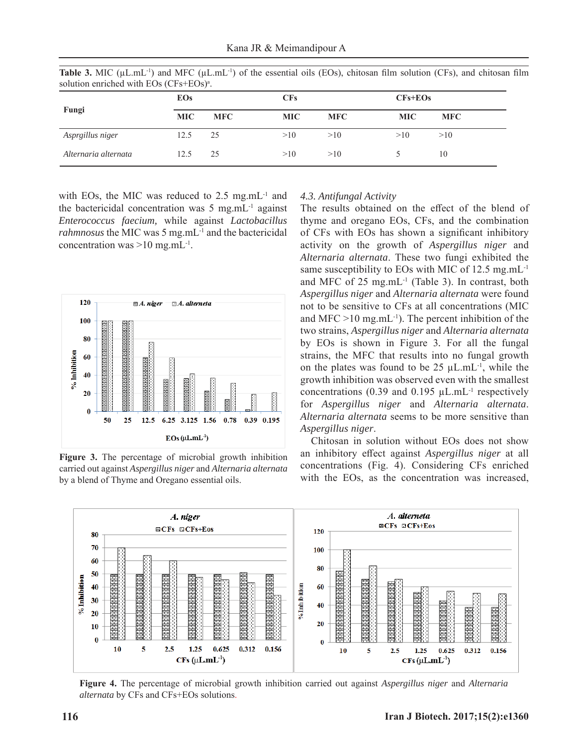|                      | <b>EOs</b> |            | <b>CFs</b> |            | $CFs + EOs$ |            |
|----------------------|------------|------------|------------|------------|-------------|------------|
| Fungi                | <b>MIC</b> | <b>MFC</b> | <b>MIC</b> | <b>MFC</b> | <b>MIC</b>  | <b>MFC</b> |
| Asprgillus niger     | 12.5       | 25         | >10        | >10        | >10         | >10        |
| Alternaria alternata | 12.5       | 25         | >10        | >10        |             | 10         |

**Table 3.** MIC ( $\mu$ L.mL<sup>-1</sup>) and MFC ( $\mu$ L.mL<sup>-1</sup>) of the essential oils (EOs), chitosan film solution (CFs), and chitosan film solution enriched with EOs (CFs+EOs)<sup>a</sup>.

with EOs, the MIC was reduced to  $2.5$  mg.mL<sup>-1</sup> and the bactericidal concentration was  $5 \text{ mg.mL}$ <sup>1</sup> against *Enterococcus faecium,* while against *Lactobacillus rahmnosus* the MIC was 5 mg.mL<sup>-1</sup> and the bactericidal concentration was  $>10$  mg.mL<sup>-1</sup>.



**Figure 3.** The percentage of microbial growth inhibition carried out against *Aspergillus niger* and *Alternaria alternata* by a blend of Thyme and Oregano essential oils.

#### *4.3. Antifungal Activity*

The results obtained on the effect of the blend of thyme and oregano EOs, CFs, and the combination of CFs with EOs has shown a significant inhibitory activity on the growth of *Aspergillus niger* and *Alternaria alternata*. These two fungi exhibited the same susceptibility to EOs with MIC of 12.5 mg.mL<sup>-1</sup> and MFC of  $25 \text{ mg.mL}^{-1}$  (Table 3). In contrast, both *Aspergillus niger* and *Alternaria alternata* were found not to be sensitive to CFs at all concentrations (MIC and MFC  $>10$  mg.mL<sup>-1</sup>). The percent inhibition of the two strains, *Aspergillus niger* and *Alternaria alternata* by EOs is shown in Figure 3*.* For all the fungal strains, the MFC that results into no fungal growth on the plates was found to be  $25 \mu L.mL^{-1}$ , while the growth inhibition was observed even with the smallest concentrations (0.39 and 0.195  $\mu$ L.mL<sup>-1</sup> respectively for *Aspergillus niger* and *Alternaria alternata*. *Alternaria alternata* seems to be more sensitive than *Aspergillus niger*.

Chitosan in solution without EOs does not show an inhibitory effect against *Aspergillus niger* at all concentrations (Fig. 4). Considering CFs enriched with the EOs, as the concentration was increased,



**Figure 4.** The percentage of microbial growth inhibition carried out against *Aspergillus niger* and *Alternaria alternata* by CFs and CFs+EOs solutions.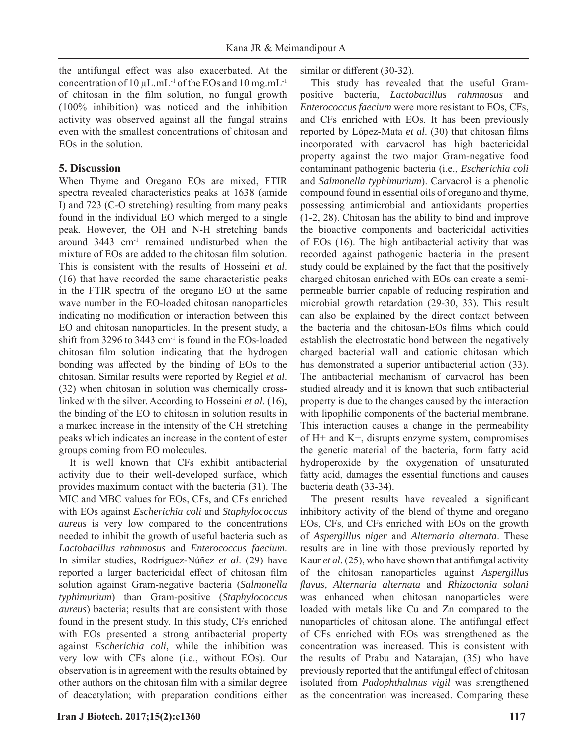the antifungal effect was also exacerbated. At the concentration of  $10 \mu L.mL^{-1}$  of the EOs and  $10 \text{ mg.mL}^{-1}$ of chitosan in the film solution, no fungal growth (100% inhibition) was noticed and the inhibition activity was observed against all the fungal strains even with the smallest concentrations of chitosan and EOs in the solution.

## **5. Discussion**

When Thyme and Oregano EOs are mixed, FTIR spectra revealed characteristics peaks at 1638 (amide I) and 723 (C-O stretching) resulting from many peaks found in the individual EO which merged to a single peak. However, the OH and N-H stretching bands around 3443 cm-1 remained undisturbed when the mixture of EOs are added to the chitosan film solution. This is consistent with the results of Hosseini *et al*. (16) that have recorded the same characteristic peaks in the FTIR spectra of the oregano EO at the same wave number in the EO-loaded chitosan nanoparticles indicating no modification or interaction between this EO and chitosan nanoparticles. In the present study, a shift from 3296 to 3443 cm-1 is found in the EOs-loaded chitosan film solution indicating that the hydrogen bonding was affected by the binding of EOs to the chitosan. Similar results were reported by Regiel *et al*. (32) when chitosan in solution was chemically crosslinked with the silver. According to Hosseini *et al*. (16), the binding of the EO to chitosan in solution results in a marked increase in the intensity of the CH stretching peaks which indicates an increase in the content of ester groups coming from EO molecules.

It is well known that CFs exhibit antibacterial activity due to their well-developed surface, which provides maximum contact with the bacteria (31). The MIC and MBC values for EOs, CFs, and CFs enriched with EOs against *Escherichia coli* and *Staphylococcus aureus* is very low compared to the concentrations needed to inhibit the growth of useful bacteria such as *Lactobacillus rahmnosus* and *Enterococcus faecium*. In similar studies, Rodríguez-Núñez *et al*. (29) have reported a larger bactericidal effect of chitosan film solution against Gram-negative bacteria (*Salmonella typhimurium*) than Gram-positive (*Staphylococcus aureus*) bacteria; results that are consistent with those found in the present study. In this study, CFs enriched with EOs presented a strong antibacterial property against *Escherichia coli*, while the inhibition was very low with CFs alone (i.e., without EOs). Our observation is in agreement with the results obtained by other authors on the chitosan film with a similar degree of deacetylation; with preparation conditions either similar or different (30-32).

This study has revealed that the useful Grampositive bacteria, *Lactobacillus rahmnosus* and *Enterococcus faecium* were more resistant to EOs, CFs, and CFs enriched with EOs. It has been previously reported by López-Mata *et al.* (30) that chitosan films incorporated with carvacrol has high bactericidal property against the two major Gram-negative food contaminant pathogenic bacteria (i.e., *Escherichia coli* and *Salmonella typhimurium*). Carvacrol is a phenolic compound found in essential oils of oregano and thyme, possessing antimicrobial and antioxidants properties (1-2, 28). Chitosan has the ability to bind and improve the bioactive components and bactericidal activities of EOs (16). The high antibacterial activity that was recorded against pathogenic bacteria in the present study could be explained by the fact that the positively charged chitosan enriched with EOs can create a semipermeable barrier capable of reducing respiration and microbial growth retardation (29-30, 33). This result can also be explained by the direct contact between the bacteria and the chitosan-EOs films which could establish the electrostatic bond between the negatively charged bacterial wall and cationic chitosan which has demonstrated a superior antibacterial action (33). The antibacterial mechanism of carvacrol has been studied already and it is known that such antibacterial property is due to the changes caused by the interaction with lipophilic components of the bacterial membrane. This interaction causes a change in the permeability of H+ and K+, disrupts enzyme system, compromises the genetic material of the bacteria, form fatty acid hydroperoxide by the oxygenation of unsaturated fatty acid, damages the essential functions and causes bacteria death (33-34).

The present results have revealed a significant inhibitory activity of the blend of thyme and oregano EOs, CFs, and CFs enriched with EOs on the growth of *Aspergillus niger* and *Alternaria alternata*. These results are in line with those previously reported by Kaur *et al*. (25), who have shown that antifungal activity of the chitosan nanoparticles against *Aspergillus fl avus, Alternaria alternata* and *Rhizoctonia solani* was enhanced when chitosan nanoparticles were loaded with metals like Cu and Zn compared to the nanoparticles of chitosan alone. The antifungal effect of CFs enriched with EOs was strengthened as the concentration was increased. This is consistent with the results of Prabu and Natarajan, (35) who have previously reported that the antifungal effect of chitosan isolated from *Padophthalmus vigil* was strengthened as the concentration was increased. Comparing these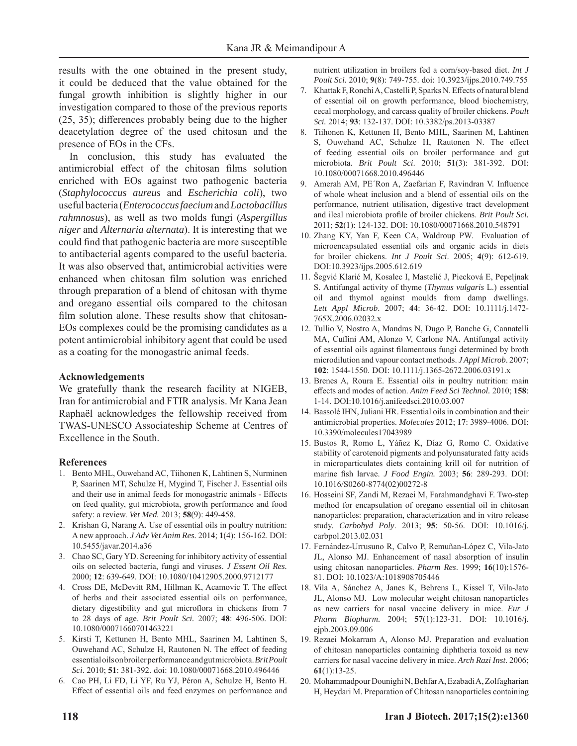results with the one obtained in the present study, it could be deduced that the value obtained for the fungal growth inhibition is slightly higher in our investigation compared to those of the previous reports  $(25, 35)$ ; differences probably being due to the higher deacetylation degree of the used chitosan and the presence of EOs in the CFs.

In conclusion, this study has evaluated the antimicrobial effect of the chitosan films solution enriched with EOs against two pathogenic bacteria (*Staphylococcus aureus* and *Escherichia coli*), two useful bacteria (*Enterococcus faecium* and *Lactobacillus rahmnosus*), as well as two molds fungi (*Aspergillus niger* and *Alternaria alternata*). It is interesting that we could find that pathogenic bacteria are more susceptible to antibacterial agents compared to the useful bacteria. It was also observed that, antimicrobial activities were enhanced when chitosan film solution was enriched through preparation of a blend of chitosan with thyme and oregano essential oils compared to the chitosan film solution alone. These results show that chitosan-EOs complexes could be the promising candidates as a potent antimicrobial inhibitory agent that could be used as a coating for the monogastric animal feeds.

#### **Acknowledgements**

We gratefully thank the research facility at NIGEB, Iran for antimicrobial and FTIR analysis. Mr Kana Jean Raphaël acknowledges the fellowship received from TWAS-UNESCO Associateship Scheme at Centres of Excellence in the South.

#### **References**

- 1. Bento MHL, Ouwehand AC, Tiihonen K, Lahtinen S, Nurminen P, Saarinen MT, Schulze H, Mygind T, Fischer J. Essential oils and their use in animal feeds for monogastric animals - Effects on feed quality, gut microbiota, growth performance and food safety: a review. *Vet Med.* 2013; **58**(9): 449-458.
- 2. Krishan G, Narang A. Use of essential oils in poultry nutrition: A new approach. *J Adv Vet Anim Res.* 2014; **1**(4): 156-162. DOI: 10.5455/javar.2014.a36
- 3. Chao SC, Gary YD. Screening for inhibitory activity of essential oils on selected bacteria, fungi and viruses. *J Essent Oil Res.* 2000; **12**: 639-649. DOI: 10.1080/10412905.2000.9712177
- 4. Cross DE, McDevitt RM, Hillman K, Acamovic T. The effect of herbs and their associated essential oils on performance, dietary digestibility and gut microflora in chickens from 7 to 28 days of age. *Brit Poult Sci.* 2007; **48**: 496-506. DOI: 10.1080/00071660701463221
- 5. Kirsti T, Kettunen H, Bento MHL, Saarinen M, Lahtinen S, Ouwehand AC, Schulze H, Rautonen N. The effect of feeding essential oils on broiler performance and gut microbiota. *Brit Poult Sci*. 2010; **51**: 381-392. doi: 10.1080/00071668.2010.496446
- 6. Cao PH, Li FD, Li YF, Ru YJ, Péron A, Schulze H, Bento H. Effect of essential oils and feed enzymes on performance and

nutrient utilization in broilers fed a corn/soy-based diet. *Int J Poult Sci.* 2010; **9**(8): 749-755. doi: 10.3923/ijps.2010.749.755

- 7. Khattak F, Ronchi A, Castelli P, Sparks N. Effects of natural blend of essential oil on growth performance, blood biochemistry, cecal morphology, and carcass quality of broiler chickens. *Poult Sci.* 2014; **93**: 132-137. DOI: 10.3382/ps.2013-03387
- 8. Tiihonen K, Kettunen H, Bento MHL, Saarinen M, Lahtinen S, Ouwehand AC, Schulze H, Rautonen N. The effect of feeding essential oils on broiler performance and gut microbiota. *Brit Poult Sci*. 2010; **51**(3): 381-392. DOI: 10.1080/00071668.2010.496446
- 9. Amerah AM, PE'Ron A, Zaefarian F, Ravindran V. Influence of whole wheat inclusion and a blend of essential oils on the performance, nutrient utilisation, digestive tract development and ileal microbiota profile of broiler chickens. *Brit Poult Sci.* 2011; **52**(1): 124-132. DOI: 10.1080/00071668.2010.548791
- 10. Zhang KY, Yan F, Keen CA, Waldroup PW. Evaluation of microencapsulated essential oils and organic acids in diets for broiler chickens. *Int J Poult Sci*. 2005; **4**(9): 612-619. DOI:10.3923/ijps.2005.612.619
- 11. Šegvić Klarić M, Kosalec I, Mastelić J, Piecková E, Pepeljnak S. Antifungal activity of thyme (*Thymus vulgaris* L.) essential oil and thymol against moulds from damp dwellings. *Lett Appl Microb*. 2007; **44**: 36-42. DOI: 10.1111/j.1472- 765X.2006.02032.x
- 12. Tullio V, Nostro A, Mandras N, Dugo P, Banche G, Cannatelli MA, Cuffini AM, Alonzo V, Carlone NA. Antifungal activity of essential oils against filamentous fungi determined by broth microdilution and vapour contact methods. *J Appl Microb*. 2007; **102**: 1544-1550. DOI: 10.1111/j.1365-2672.2006.03191.x
- 13. Brenes A, Roura E. Essential oils in poultry nutrition: main eff ects and modes of action. *Anim Feed Sci Technol.* 2010; **158**: 1-14. DOI:10.1016/j.anifeedsci.2010.03.007
- 14. Bassolé IHN, Juliani HR. Essential oils in combination and their antimicrobial properties. *Molecules* 2012; **17**: 3989-4006. DOI: 10.3390/molecules17043989
- 15. Bustos R, Romo L, Yáñez K, Díaz G, Romo C. Oxidative stability of carotenoid pigments and polyunsaturated fatty acids in microparticulates diets containing krill oil for nutrition of marine fish larvae. *J Food Engin*. 2003; **56**: 289-293. DOI: 10.1016/S0260-8774(02)00272-8
- 16. Hosseini SF, Zandi M, Rezaei M, Farahmandghavi F. Two-step method for encapsulation of oregano essential oil in chitosan nanoparticles: preparation, characterization and in vitro release study. *Carbohyd Poly*. 2013; **95**: 50-56. DOI: 10.1016/j. carbpol.2013.02.031
- 17. Fernández-Urrusuno R, Calvo P, Remuñan-López C, Vila-Jato JL, Alonso MJ. Enhancement of nasal absorption of insulin using chitosan nanoparticles. *Pharm Res*. 1999; **16**(10):1576- 81. DOI: 10.1023/A:1018908705446
- 18. Vila A, Sánchez A, Janes K, Behrens L, Kissel T, Vila-Jato JL, Alonso MJ. Low molecular weight chitosan nanoparticles as new carriers for nasal vaccine delivery in mice. *Eur J Pharm Biopharm.* 2004; **57**(1):123-31. DOI: 10.1016/j. ejpb.2003.09.006
- 19. Rezaei Mokarram A, Alonso MJ. Preparation and evaluation of chitosan nanoparticles containing diphtheria toxoid as new carriers for nasal vaccine delivery in mice. *Arch Razi Inst.* 2006; **61**(1):13-25.
- 20. Mohammadpour Dounighi N, Behfar A, Ezabadi A, Zolfagharian H, Heydari M. Preparation of Chitosan nanoparticles containing